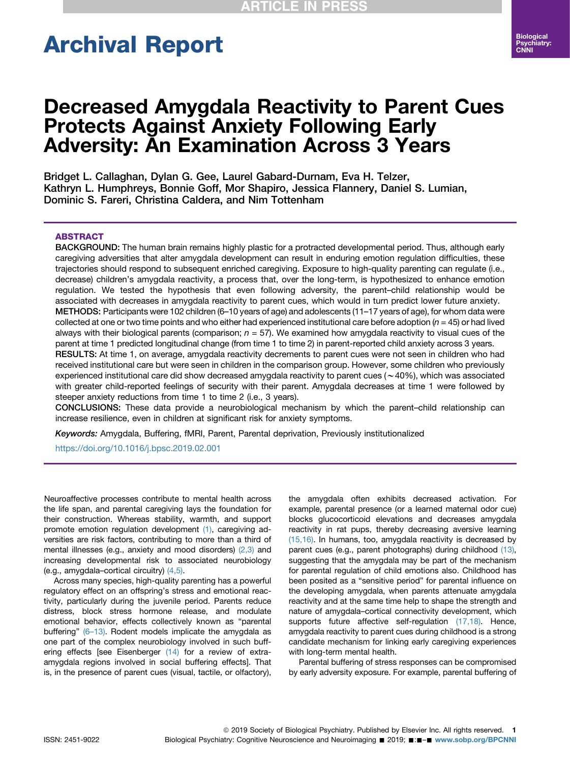# Archival Report

## Decreased Amygdala Reactivity to Parent Cues Protects Against Anxiety Following Early Adversity: An Examination Across 3 Years

Bridget L. Callaghan, Dylan G. Gee, Laurel Gabard-Durnam, Eva H. Telzer, Kathryn L. Humphreys, Bonnie Goff, Mor Shapiro, Jessica Flannery, Daniel S. Lumian, Dominic S. Fareri, Christina Caldera, and Nim Tottenham

#### ABSTRACT

BACKGROUND: The human brain remains highly plastic for a protracted developmental period. Thus, although early caregiving adversities that alter amygdala development can result in enduring emotion regulation difficulties, these trajectories should respond to subsequent enriched caregiving. Exposure to high-quality parenting can regulate (i.e., decrease) children's amygdala reactivity, a process that, over the long-term, is hypothesized to enhance emotion regulation. We tested the hypothesis that even following adversity, the parent–child relationship would be associated with decreases in amygdala reactivity to parent cues, which would in turn predict lower future anxiety. METHODS: Participants were 102 children (6–10 years of age) and adolescents (11–17 years of age), for whom data were collected at one or two time points and who either had experienced institutional care before adoption ( $n = 45$ ) or had lived always with their biological parents (comparison;  $n = 57$ ). We examined how amygdala reactivity to visual cues of the parent at time 1 predicted longitudinal change (from time 1 to time 2) in parent-reported child anxiety across 3 years. RESULTS: At time 1, on average, amygdala reactivity decrements to parent cues were not seen in children who had received institutional care but were seen in children in the comparison group. However, some children who previously experienced institutional care did show decreased amygdala reactivity to parent cues ( $\sim$ 40%), which was associated with greater child-reported feelings of security with their parent. Amygdala decreases at time 1 were followed by steeper anxiety reductions from time 1 to time 2 (i.e., 3 years).

CONCLUSIONS: These data provide a neurobiological mechanism by which the parent–child relationship can increase resilience, even in children at significant risk for anxiety symptoms.

Keywords: Amygdala, Buffering, fMRI, Parent, Parental deprivation, Previously institutionalized

<https://doi.org/10.1016/j.bpsc.2019.02.001>

Neuroaffective processes contribute to mental health across the life span, and parental caregiving lays the foundation for their construction. Whereas stability, warmth, and support promote emotion regulation development [\(1\)](#page-6-0), caregiving adversities are risk factors, contributing to more than a third of mental illnesses (e.g., anxiety and mood disorders) [\(2,3\)](#page-6-0) and increasing developmental risk to associated neurobiology (e.g., amygdala–cortical circuitry) [\(4,5\).](#page-6-0)

Across many species, high-quality parenting has a powerful regulatory effect on an offspring's stress and emotional reactivity, particularly during the juvenile period. Parents reduce distress, block stress hormone release, and modulate emotional behavior, effects collectively known as "parental buffering" (6-[13\).](#page-6-0) Rodent models implicate the amygdala as one part of the complex neurobiology involved in such buff-ering effects [see Eisenberger [\(14\)](#page-6-0) for a review of extraamygdala regions involved in social buffering effects]. That is, in the presence of parent cues (visual, tactile, or olfactory),

the amygdala often exhibits decreased activation. For example, parental presence (or a learned maternal odor cue) blocks glucocorticoid elevations and decreases amygdala reactivity in rat pups, thereby decreasing aversive learning [\(15,16\).](#page-6-0) In humans, too, amygdala reactivity is decreased by parent cues (e.g., parent photographs) during childhood [\(13\),](#page-6-0) suggesting that the amygdala may be part of the mechanism for parental regulation of child emotions also. Childhood has been posited as a "sensitive period" for parental influence on the developing amygdala, when parents attenuate amygdala reactivity and at the same time help to shape the strength and nature of amygdala–cortical connectivity development, which supports future affective self-regulation [\(17,18\)](#page-6-0). Hence, amygdala reactivity to parent cues during childhood is a strong candidate mechanism for linking early caregiving experiences with long-term mental health.

Parental buffering of stress responses can be compromised by early adversity exposure. For example, parental buffering of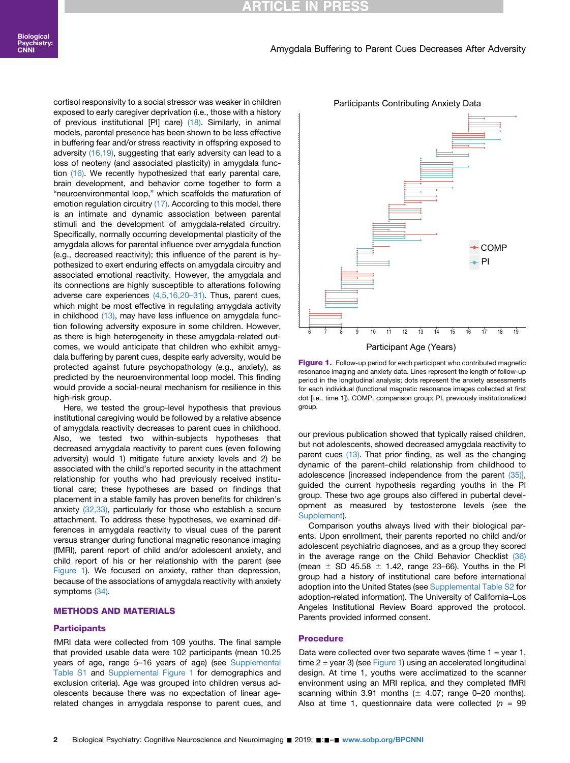cortisol responsivity to a social stressor was weaker in children exposed to early caregiver deprivation (i.e., those with a history of previous institutional [PI] care) [\(18\)](#page-6-0). Similarly, in animal models, parental presence has been shown to be less effective in buffering fear and/or stress reactivity in offspring exposed to adversity [\(16,19\),](#page-6-0) suggesting that early adversity can lead to a loss of neoteny (and associated plasticity) in amygdala func-tion [\(16\)](#page-6-0). We recently hypothesized that early parental care, brain development, and behavior come together to form a "neuroenvironmental loop," which scaffolds the maturation of emotion regulation circuitry [\(17\).](#page-6-0) According to this model, there is an intimate and dynamic association between parental stimuli and the development of amygdala-related circuitry. Specifically, normally occurring developmental plasticity of the amygdala allows for parental influence over amygdala function (e.g., decreased reactivity); this influence of the parent is hypothesized to exert enduring effects on amygdala circuitry and associated emotional reactivity. However, the amygdala and its connections are highly susceptible to alterations following adverse care experiences [\(4,5,16,20](#page-6-0)–31). Thus, parent cues, which might be most effective in regulating amygdala activity in childhood [\(13\),](#page-6-0) may have less influence on amygdala function following adversity exposure in some children. However, as there is high heterogeneity in these amygdala-related outcomes, we would anticipate that children who exhibit amygdala buffering by parent cues, despite early adversity, would be protected against future psychopathology (e.g., anxiety), as predicted by the neuroenvironmental loop model. This finding would provide a social-neural mechanism for resilience in this high-risk group.

Here, we tested the group-level hypothesis that previous institutional caregiving would be followed by a relative absence of amygdala reactivity decreases to parent cues in childhood. Also, we tested two within-subjects hypotheses that decreased amygdala reactivity to parent cues (even following adversity) would 1) mitigate future anxiety levels and 2) be associated with the child's reported security in the attachment relationship for youths who had previously received institutional care; these hypotheses are based on findings that placement in a stable family has proven benefits for children's anxiety [\(32,33\)](#page-7-0), particularly for those who establish a secure attachment. To address these hypotheses, we examined differences in amygdala reactivity to visual cues of the parent versus stranger during functional magnetic resonance imaging (fMRI), parent report of child and/or adolescent anxiety, and child report of his or her relationship with the parent (see Figure 1). We focused on anxiety, rather than depression, because of the associations of amygdala reactivity with anxiety symptoms [\(34\).](#page-7-0)

#### METHODS AND MATERIALS

#### **Participants**

fMRI data were collected from 109 youths. The final sample that provided usable data were 102 participants (mean 10.25 years of age, range 5–16 years of age) (see [Supplemental](#page-7-0) [Table S1](#page-7-0) and [Supplemental Figure 1](#page-7-0) for demographics and exclusion criteria). Age was grouped into children versus adolescents because there was no expectation of linear agerelated changes in amygdala response to parent cues, and



Participants Contributing Anxiety Data

Figure 1. Follow-up period for each participant who contributed magnetic resonance imaging and anxiety data. Lines represent the length of follow-up period in the longitudinal analysis; dots represent the anxiety assessments for each individual (functional magnetic resonance images collected at first dot [i.e., time 1]). COMP, comparison group; PI, previously institutionalized group.

our previous publication showed that typically raised children, but not adolescents, showed decreased amygdala reactivity to parent cues [\(13\)](#page-6-0). That prior finding, as well as the changing dynamic of the parent–child relationship from childhood to adolescence [increased independence from the parent [\(35\)\]](#page-7-0), guided the current hypothesis regarding youths in the PI group. These two age groups also differed in pubertal development as measured by testosterone levels (see the [Supplement\)](#page-7-0).

Comparison youths always lived with their biological parents. Upon enrollment, their parents reported no child and/or adolescent psychiatric diagnoses, and as a group they scored in the average range on the Child Behavior Checklist [\(36\)](#page-7-0) (mean  $\pm$  SD 45.58  $\pm$  1.42, range 23–66). Youths in the PI group had a history of institutional care before international adoption into the United States (see [Supplemental Table S2](#page-7-0) for adoption-related information). The University of California–Los Angeles Institutional Review Board approved the protocol. Parents provided informed consent.

#### Procedure

Data were collected over two separate waves (time  $1 =$  year 1, time 2 = year 3) (see Figure 1) using an accelerated longitudinal design. At time 1, youths were acclimatized to the scanner environment using an MRI replica, and they completed fMRI scanning within 3.91 months  $(\pm 4.07;$  range 0-20 months). Also at time 1, questionnaire data were collected ( $n = 99$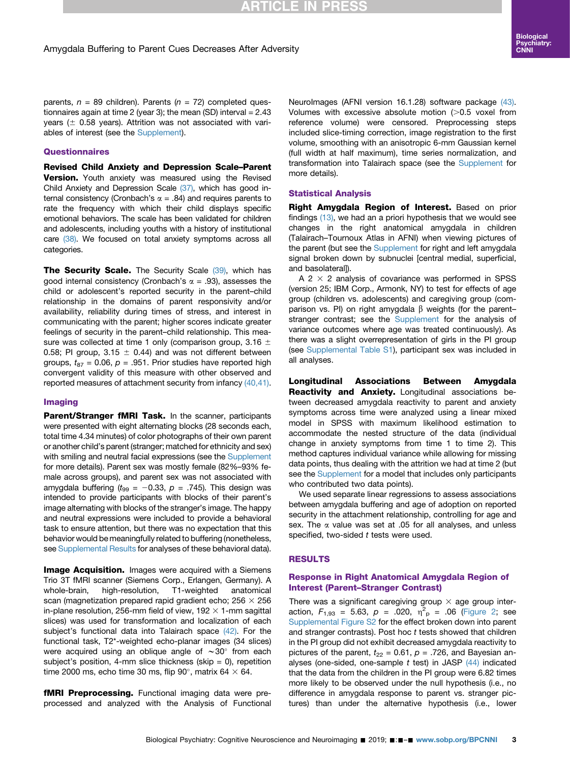## Amygdala Buffering to Parent Cues Decreases After Adversity

parents,  $n = 89$  children). Parents ( $n = 72$ ) completed questionnaires again at time 2 (year 3); the mean (SD) interval  $= 2.43$ years ( $\pm$  0.58 years). Attrition was not associated with variables of interest (see the [Supplement](#page-7-0)).

#### **Questionnaires**

Revised Child Anxiety and Depression Scale–Parent **Version.** Youth anxiety was measured using the Revised Child Anxiety and Depression Scale [\(37\)](#page-7-0), which has good internal consistency (Cronbach's  $\alpha$  = .84) and requires parents to rate the frequency with which their child displays specific emotional behaviors. The scale has been validated for children and adolescents, including youths with a history of institutional care [\(38\)](#page-7-0). We focused on total anxiety symptoms across all categories.

The Security Scale. The Security Scale [\(39\),](#page-7-0) which has good internal consistency (Cronbach's  $\alpha$  = .93), assesses the child or adolescent's reported security in the parent–child relationship in the domains of parent responsivity and/or availability, reliability during times of stress, and interest in communicating with the parent; higher scores indicate greater feelings of security in the parent–child relationship. This measure was collected at time 1 only (comparison group, 3.16  $\pm$ 0.58; PI group, 3.15  $\pm$  0.44) and was not different between groups,  $t_{87}$  = 0.06,  $p = .951$ . Prior studies have reported high convergent validity of this measure with other observed and reported measures of attachment security from infancy [\(40,41\)](#page-7-0).

#### Imaging

Parent/Stranger fMRI Task. In the scanner, participants were presented with eight alternating blocks (28 seconds each, total time 4.34 minutes) of color photographs of their own parent or another child's parent (stranger; matched for ethnicity and sex) with smiling and neutral facial expressions (see the [Supplement](#page-7-0) for more details). Parent sex was mostly female (82%–93% female across groups), and parent sex was not associated with amygdala buffering ( $t_{99} = -0.33$ ,  $p = .745$ ). This design was intended to provide participants with blocks of their parent's image alternating with blocks of the stranger's image. The happy and neutral expressions were included to provide a behavioral task to ensure attention, but there was no expectation that this behavior would be meaningfully related to buffering (nonetheless, see [Supplemental Results](#page-7-0) for analyses of these behavioral data).

**Image Acquisition.** Images were acquired with a Siemens Trio 3T fMRI scanner (Siemens Corp., Erlangen, Germany). A whole-brain, high-resolution, T1-weighted anatomical scan (magnetization prepared rapid gradient echo;  $256 \times 256$ in-plane resolution, 256-mm field of view, 192  $\times$  1-mm sagittal slices) was used for transformation and localization of each subject's functional data into Talairach space [\(42\).](#page-7-0) For the functional task, T2\*-weighted echo-planar images (34 slices) were acquired using an oblique angle of  $\sim$ 30 $^{\circ}$  from each subject's position, 4-mm slice thickness (skip  $= 0$ ), repetition time 2000 ms, echo time 30 ms, flip 90°, matrix 64  $\times$  64.

fMRI Preprocessing. Functional imaging data were preprocessed and analyzed with the Analysis of Functional NeuroImages (AFNI version 16.1.28) software package [\(43\).](#page-7-0) Volumes with excessive absolute motion  $(>0.5$  voxel from reference volume) were censored. Preprocessing steps included slice-timing correction, image registration to the first volume, smoothing with an anisotropic 6-mm Gaussian kernel (full width at half maximum), time series normalization, and transformation into Talairach space (see the [Supplement](#page-7-0) for more details).

#### Statistical Analysis

**RTICLE IN PRESS** 

Right Amygdala Region of Interest. Based on prior findings [\(13\)](#page-6-0), we had an a priori hypothesis that we would see changes in the right anatomical amygdala in children (Talairach–Tournoux Atlas in AFNI) when viewing pictures of the parent (but see the [Supplement](#page-7-0) for right and left amygdala signal broken down by subnuclei [central medial, superficial, and basolateral]).

A 2  $\times$  2 analysis of covariance was performed in SPSS (version 25; IBM Corp., Armonk, NY) to test for effects of age group (children vs. adolescents) and caregiving group (comparison vs. PI) on right amygdala  $\beta$  weights (for the parent– stranger contrast; see the [Supplement](#page-7-0) for the analysis of variance outcomes where age was treated continuously). As there was a slight overrepresentation of girls in the PI group (see [Supplemental Table S1\)](#page-7-0), participant sex was included in all analyses.

Longitudinal Associations Between Amygdala Reactivity and Anxiety. Longitudinal associations between decreased amygdala reactivity to parent and anxiety symptoms across time were analyzed using a linear mixed model in SPSS with maximum likelihood estimation to accommodate the nested structure of the data (individual change in anxiety symptoms from time 1 to time 2). This method captures individual variance while allowing for missing data points, thus dealing with the attrition we had at time 2 (but see the [Supplement](#page-7-0) for a model that includes only participants who contributed two data points).

We used separate linear regressions to assess associations between amygdala buffering and age of adoption on reported security in the attachment relationship, controlling for age and sex. The  $\alpha$  value was set at .05 for all analyses, and unless specified, two-sided t tests were used.

#### RESULTS

#### Response in Right Anatomical Amygdala Region of Interest (Parent–Stranger Contrast)

There was a significant caregiving group  $\times$  age group interaction,  $F_{1,93} = 5.63$ ,  $p = .020$ ,  $\eta^2_{p} = .06$  ([Figure 2](#page-3-0); see [Supplemental Figure S2](#page-7-0) for the effect broken down into parent and stranger contrasts). Post hoc t tests showed that children in the PI group did not exhibit decreased amygdala reactivity to pictures of the parent,  $t_{22} = 0.61$ ,  $p = .726$ , and Bayesian analyses (one-sided, one-sample  $t$  test) in JASP  $(44)$  indicated that the data from the children in the PI group were 6.82 times more likely to be observed under the null hypothesis (i.e., no difference in amygdala response to parent vs. stranger pictures) than under the alternative hypothesis (i.e., lower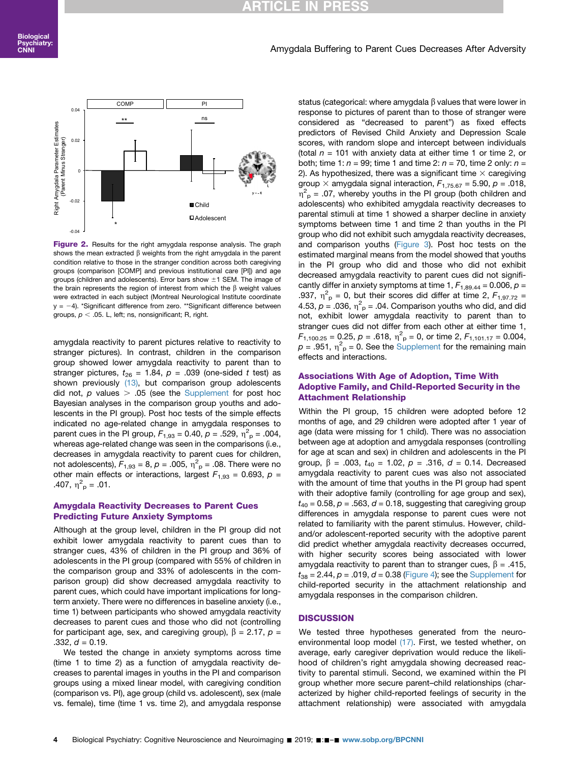## **CLE** I

#### Amygdala Buffering to Parent Cues Decreases After Adversity

<span id="page-3-0"></span>

Figure 2. Results for the right amygdala response analysis. The graph shows the mean extracted  $\beta$  weights from the right amygdala in the parent condition relative to those in the stranger condition across both caregiving groups (comparison [COMP] and previous institutional care [PI]) and age groups (children and adolescents). Error bars show  $\pm 1$  SEM. The image of the brain represents the region of interest from which the  $\beta$  weight values were extracted in each subject (Montreal Neurological Institute coordinate  $y = -4$ ). \*Significant difference from zero. \*\*Significant difference between groups,  $p < .05$ . L, left; ns, nonsignificant; R, right.

amygdala reactivity to parent pictures relative to reactivity to stranger pictures). In contrast, children in the comparison group showed lower amygdala reactivity to parent than to stranger pictures,  $t_{26}$  = 1.84,  $p = .039$  (one-sided t test) as shown previously [\(13\),](#page-6-0) but comparison group adolescents did not, p values  $> .05$  (see the [Supplement](#page-7-0) for post hoc Bayesian analyses in the comparison group youths and adolescents in the PI group). Post hoc tests of the simple effects indicated no age-related change in amygdala responses to parent cues in the PI group,  $F_{1,93} = 0.40$ ,  $p = .529$ ,  $\eta_{p}^{2} = .004$ , whereas age-related change was seen in the comparisons (i.e., decreases in amygdala reactivity to parent cues for children, not adolescents),  $F_{1,93}$  = 8,  $p = .005$ ,  $\eta^2$ <sub>p</sub> = .08. There were no other main effects or interactions, largest  $F_{1,93} = 0.693$ ,  $p =$ .407,  $\eta_{\text{p}}^2$  = .01.

#### Amygdala Reactivity Decreases to Parent Cues Predicting Future Anxiety Symptoms

Although at the group level, children in the PI group did not exhibit lower amygdala reactivity to parent cues than to stranger cues, 43% of children in the PI group and 36% of adolescents in the PI group (compared with 55% of children in the comparison group and 33% of adolescents in the comparison group) did show decreased amygdala reactivity to parent cues, which could have important implications for longterm anxiety. There were no differences in baseline anxiety (i.e., time 1) between participants who showed amygdala reactivity decreases to parent cues and those who did not (controlling for participant age, sex, and caregiving group),  $\beta = 2.17$ ,  $p =$  $.332, d = 0.19.$ 

We tested the change in anxiety symptoms across time (time 1 to time 2) as a function of amygdala reactivity decreases to parental images in youths in the PI and comparison groups using a mixed linear model, with caregiving condition (comparison vs. PI), age group (child vs. adolescent), sex (male vs. female), time (time 1 vs. time 2), and amygdala response status (categorical: where amygdala  $\beta$  values that were lower in response to pictures of parent than to those of stranger were considered as "decreased to parent") as fixed effects predictors of Revised Child Anxiety and Depression Scale scores, with random slope and intercept between individuals (total  $n = 101$  with anxiety data at either time 1 or time 2, or both; time 1:  $n = 99$ ; time 1 and time 2:  $n = 70$ , time 2 only;  $n =$ 2). As hypothesized, there was a significant time  $\times$  caregiving group  $\times$  amygdala signal interaction,  $F_{1,75.67} = 5.90$ ,  $p = .018$ ,  $\eta_{\text{p}}^2$  = .07, whereby youths in the PI group (both children and adolescents) who exhibited amygdala reactivity decreases to parental stimuli at time 1 showed a sharper decline in anxiety symptoms between time 1 and time 2 than youths in the PI group who did not exhibit such amygdala reactivity decreases, and comparison youths ([Figure 3](#page-4-0)). Post hoc tests on the estimated marginal means from the model showed that youths in the PI group who did and those who did not exhibit decreased amygdala reactivity to parent cues did not significantly differ in anxiety symptoms at time 1,  $F_{1,89,44} = 0.006$ ,  $p =$ .937,  $\eta_{\text{p}}^2 = 0$ , but their scores did differ at time 2,  $F_{1,97.72} =$ 4.53,  $p = .036$ ,  $\eta^2 = .04$ . Comparison youths who did, and did not, exhibit lower amygdala reactivity to parent than to stranger cues did not differ from each other at either time 1,  $F_{1,100.25} = 0.25, p = .618, \eta^2_{p} = 0, \text{ or time } 2, F_{1,101.17} = 0.004,$  $p = .951$ ,  $\eta^2$ <sub>p</sub> = 0. See the [Supplement](#page-7-0) for the remaining main effects and interactions.

### Associations With Age of Adoption, Time With Adoptive Family, and Child-Reported Security in the Attachment Relationship

Within the PI group, 15 children were adopted before 12 months of age, and 29 children were adopted after 1 year of age (data were missing for 1 child). There was no association between age at adoption and amygdala responses (controlling for age at scan and sex) in children and adolescents in the PI group,  $\beta = .003$ ,  $t_{40} = 1.02$ ,  $p = .316$ ,  $d = 0.14$ . Decreased amygdala reactivity to parent cues was also not associated with the amount of time that youths in the PI group had spent with their adoptive family (controlling for age group and sex),  $t_{40}$  = 0.58,  $p = 0.563$ ,  $d = 0.18$ , suggesting that caregiving group differences in amygdala response to parent cues were not related to familiarity with the parent stimulus. However, childand/or adolescent-reported security with the adoptive parent did predict whether amygdala reactivity decreases occurred, with higher security scores being associated with lower amygdala reactivity to parent than to stranger cues,  $\beta = .415$ ,  $t_{38} = 2.44$ ,  $p = .019$ ,  $d = 0.38$  [\(Figure 4](#page-4-0)); see the [Supplement](#page-7-0) for child-reported security in the attachment relationship and amygdala responses in the comparison children.

#### **DISCUSSION**

We tested three hypotheses generated from the neuroenvironmental loop model [\(17\)](#page-6-0). First, we tested whether, on average, early caregiver deprivation would reduce the likelihood of children's right amygdala showing decreased reactivity to parental stimuli. Second, we examined within the PI group whether more secure parent–child relationships (characterized by higher child-reported feelings of security in the attachment relationship) were associated with amygdala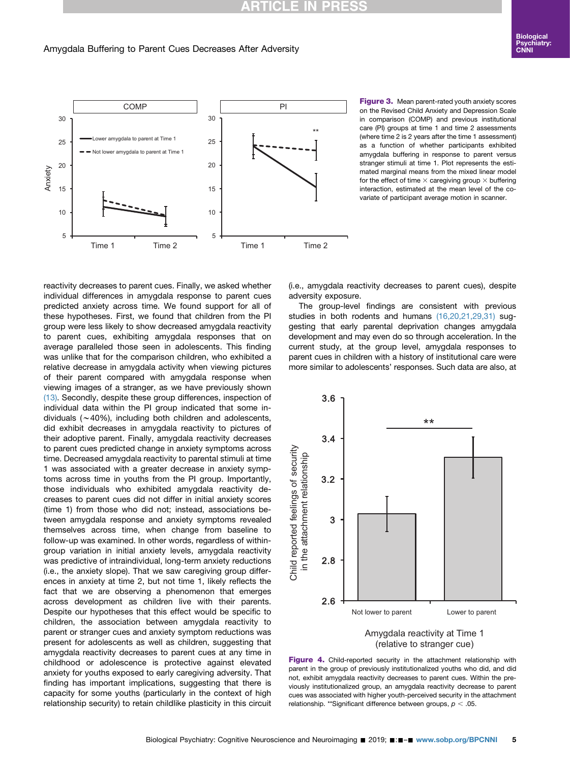## **RTICLE I**

#### <span id="page-4-0"></span>Amygdala Buffering to Parent Cues Decreases After Adversity



Figure 3. Mean parent-rated youth anxiety scores on the Revised Child Anxiety and Depression Scale in comparison (COMP) and previous institutional care (PI) groups at time 1 and time 2 assessments (where time 2 is 2 years after the time 1 assessment) as a function of whether participants exhibited amygdala buffering in response to parent versus stranger stimuli at time 1. Plot represents the estimated marginal means from the mixed linear model for the effect of time  $\times$  caregiving group  $\times$  buffering interaction, estimated at the mean level of the covariate of participant average motion in scanner.

reactivity decreases to parent cues. Finally, we asked whether individual differences in amygdala response to parent cues predicted anxiety across time. We found support for all of these hypotheses. First, we found that children from the PI group were less likely to show decreased amygdala reactivity to parent cues, exhibiting amygdala responses that on average paralleled those seen in adolescents. This finding was unlike that for the comparison children, who exhibited a relative decrease in amygdala activity when viewing pictures of their parent compared with amygdala response when viewing images of a stranger, as we have previously shown [\(13\).](#page-6-0) Secondly, despite these group differences, inspection of individual data within the PI group indicated that some individuals  $(\sim 40\%)$ , including both children and adolescents, did exhibit decreases in amygdala reactivity to pictures of their adoptive parent. Finally, amygdala reactivity decreases to parent cues predicted change in anxiety symptoms across time. Decreased amygdala reactivity to parental stimuli at time 1 was associated with a greater decrease in anxiety symptoms across time in youths from the PI group. Importantly, those individuals who exhibited amygdala reactivity decreases to parent cues did not differ in initial anxiety scores (time 1) from those who did not; instead, associations between amygdala response and anxiety symptoms revealed themselves across time, when change from baseline to follow-up was examined. In other words, regardless of withingroup variation in initial anxiety levels, amygdala reactivity was predictive of intraindividual, long-term anxiety reductions (i.e., the anxiety slope). That we saw caregiving group differences in anxiety at time 2, but not time 1, likely reflects the fact that we are observing a phenomenon that emerges across development as children live with their parents. Despite our hypotheses that this effect would be specific to children, the association between amygdala reactivity to parent or stranger cues and anxiety symptom reductions was present for adolescents as well as children, suggesting that amygdala reactivity decreases to parent cues at any time in childhood or adolescence is protective against elevated anxiety for youths exposed to early caregiving adversity. That finding has important implications, suggesting that there is capacity for some youths (particularly in the context of high relationship security) to retain childlike plasticity in this circuit

(i.e., amygdala reactivity decreases to parent cues), despite adversity exposure.

The group-level findings are consistent with previous studies in both rodents and humans [\(16,20,21,29,31\)](#page-6-0) suggesting that early parental deprivation changes amygdala development and may even do so through acceleration. In the current study, at the group level, amygdala responses to parent cues in children with a history of institutional care were more similar to adolescents' responses. Such data are also, at



Figure 4. Child-reported security in the attachment relationship with parent in the group of previously institutionalized youths who did, and did not, exhibit amygdala reactivity decreases to parent cues. Within the previously institutionalized group, an amygdala reactivity decrease to parent cues was associated with higher youth-perceived security in the attachment relationship. \*\*Significant difference between groups,  $p < .05$ .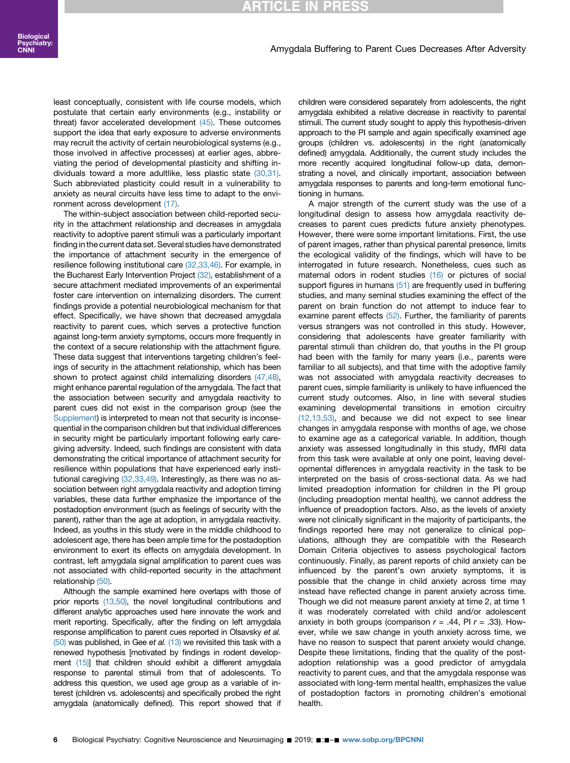#### Biological Psychiatry: CNNI

### ITICLE IN PI

#### Amygdala Buffering to Parent Cues Decreases After Adversity

least conceptually, consistent with life course models, which postulate that certain early environments (e.g., instability or threat) favor accelerated development [\(45\)](#page-7-0). These outcomes support the idea that early exposure to adverse environments may recruit the activity of certain neurobiological systems (e.g., those involved in affective processes) at earlier ages, abbreviating the period of developmental plasticity and shifting individuals toward a more adultlike, less plastic state [\(30,31\)](#page-7-0). Such abbreviated plasticity could result in a vulnerability to anxiety as neural circuits have less time to adapt to the environment across development [\(17\).](#page-6-0)

The within-subject association between child-reported security in the attachment relationship and decreases in amygdala reactivity to adoptive parent stimuli was a particularly important finding in the current data set. Several studies have demonstrated the importance of attachment security in the emergence of resilience following institutional care [\(32,33,46\)](#page-7-0). For example, in the Bucharest Early Intervention Project [\(32\)](#page-7-0), establishment of a secure attachment mediated improvements of an experimental foster care intervention on internalizing disorders. The current findings provide a potential neurobiological mechanism for that effect. Specifically, we have shown that decreased amygdala reactivity to parent cues, which serves a protective function against long-term anxiety symptoms, occurs more frequently in the context of a secure relationship with the attachment figure. These data suggest that interventions targeting children's feelings of security in the attachment relationship, which has been shown to protect against child internalizing disorders [\(47,48\)](#page-7-0), might enhance parental regulation of the amygdala. The fact that the association between security and amygdala reactivity to parent cues did not exist in the comparison group (see the [Supplement](#page-7-0)) is interpreted to mean not that security is inconsequential in the comparison children but that individual differences in security might be particularly important following early caregiving adversity. Indeed, such findings are consistent with data demonstrating the critical importance of attachment security for resilience within populations that have experienced early institutional caregiving [\(32,33,49\).](#page-7-0) Interestingly, as there was no association between right amygdala reactivity and adoption timing variables, these data further emphasize the importance of the postadoption environment (such as feelings of security with the parent), rather than the age at adoption, in amygdala reactivity. Indeed, as youths in this study were in the middle childhood to adolescent age, there has been ample time for the postadoption environment to exert its effects on amygdala development. In contrast, left amygdala signal amplification to parent cues was not associated with child-reported security in the attachment relationship [\(50\).](#page-7-0)

Although the sample examined here overlaps with those of prior reports [\(13,50\)](#page-6-0), the novel longitudinal contributions and different analytic approaches used here innovate the work and merit reporting. Specifically, after the finding on left amygdala response amplification to parent cues reported in Olsavsky et al.  $(50)$  was published, in Gee et al.  $(13)$  we revisited this task with a renewed hypothesis [motivated by findings in rodent development [\(15\)](#page-6-0)] that children should exhibit a different amygdala response to parental stimuli from that of adolescents. To address this question, we used age group as a variable of interest (children vs. adolescents) and specifically probed the right amygdala (anatomically defined). This report showed that if children were considered separately from adolescents, the right amygdala exhibited a relative decrease in reactivity to parental stimuli. The current study sought to apply this hypothesis-driven approach to the PI sample and again specifically examined age groups (children vs. adolescents) in the right (anatomically defined) amygdala. Additionally, the current study includes the more recently acquired longitudinal follow-up data, demonstrating a novel, and clinically important, association between amygdala responses to parents and long-term emotional functioning in humans.

A major strength of the current study was the use of a longitudinal design to assess how amygdala reactivity decreases to parent cues predicts future anxiety phenotypes. However, there were some important limitations. First, the use of parent images, rather than physical parental presence, limits the ecological validity of the findings, which will have to be interrogated in future research. Nonetheless, cues such as maternal odors in rodent studies [\(16\)](#page-6-0) or pictures of social support figures in humans [\(51\)](#page-7-0) are frequently used in buffering studies, and many seminal studies examining the effect of the parent on brain function do not attempt to induce fear to examine parent effects [\(52\)](#page-7-0). Further, the familiarity of parents versus strangers was not controlled in this study. However, considering that adolescents have greater familiarity with parental stimuli than children do, that youths in the PI group had been with the family for many years (i.e., parents were familiar to all subjects), and that time with the adoptive family was not associated with amygdala reactivity decreases to parent cues, simple familiarity is unlikely to have influenced the current study outcomes. Also, in line with several studies examining developmental transitions in emotion circuitry [\(12,13,53\)](#page-6-0), and because we did not expect to see linear changes in amygdala response with months of age, we chose to examine age as a categorical variable. In addition, though anxiety was assessed longitudinally in this study, fMRI data from this task were available at only one point, leaving developmental differences in amygdala reactivity in the task to be interpreted on the basis of cross-sectional data. As we had limited preadoption information for children in the PI group (including preadoption mental health), we cannot address the influence of preadoption factors. Also, as the levels of anxiety were not clinically significant in the majority of participants, the findings reported here may not generalize to clinical populations, although they are compatible with the Research Domain Criteria objectives to assess psychological factors continuously. Finally, as parent reports of child anxiety can be influenced by the parent's own anxiety symptoms, it is possible that the change in child anxiety across time may instead have reflected change in parent anxiety across time. Though we did not measure parent anxiety at time 2, at time 1 it was moderately correlated with child and/or adolescent anxiety in both groups (comparison  $r = .44$ , PI  $r = .33$ ). However, while we saw change in youth anxiety across time, we have no reason to suspect that parent anxiety would change. Despite these limitations, finding that the quality of the postadoption relationship was a good predictor of amygdala reactivity to parent cues, and that the amygdala response was associated with long-term mental health, emphasizes the value of postadoption factors in promoting children's emotional health.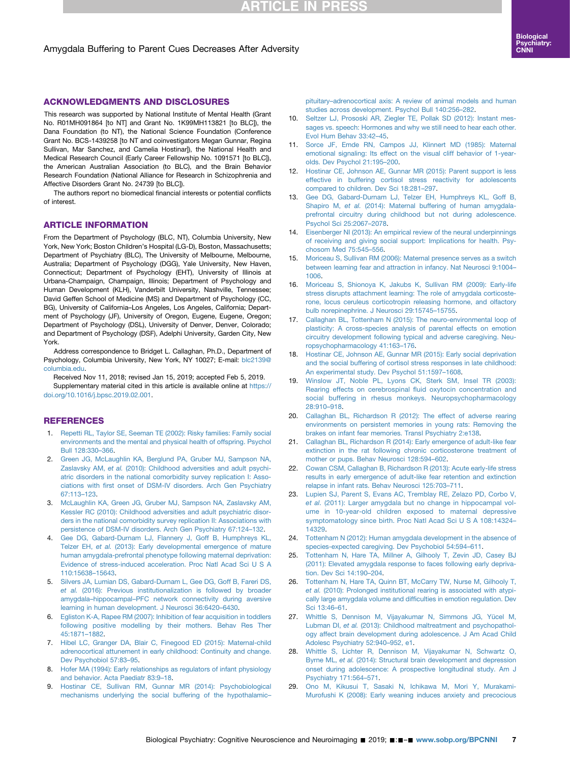## **RTICLE IN PRESS**

#### <span id="page-6-0"></span>Amygdala Buffering to Parent Cues Decreases After Adversity

This research was supported by National Institute of Mental Health (Grant No. R01MH091864 [to NT] and Grant No. 1K99MH113821 [to BLC]), the Dana Foundation (to NT), the National Science Foundation (Conference Grant No. BCS-1439258 [to NT and coinvestigators Megan Gunnar, Regina Sullivan, Mar Sanchez, and Camelia Hostinar]), the National Health and Medical Research Council (Early Career Fellowship No. 1091571 [to BLC]), the American Australian Association (to BLC), and the Brain Behavior Research Foundation (National Alliance for Research in Schizophrenia and Affective Disorders Grant No. 24739 [to BLC]).

The authors report no biomedical financial interests or potential conflicts of interest.

#### ARTICLE INFORMATION

From the Department of Psychology (BLC, NT), Columbia University, New York, New York; Boston Children's Hospital (LG-D), Boston, Massachusetts; Department of Psychiatry (BLC), The University of Melbourne, Melbourne, Australia; Department of Psychology (DGG), Yale University, New Haven, Connecticut; Department of Psychology (EHT), University of Illinois at Urbana-Champaign, Champaign, Illinois; Department of Psychology and Human Development (KLH), Vanderbilt University, Nashville, Tennessee; David Geffen School of Medicine (MS) and Department of Psychology (CC, BG), University of California–Los Angeles, Los Angeles, California; Department of Psychology (JF), University of Oregon, Eugene, Eugene, Oregon; Department of Psychology (DSL), University of Denver, Denver, Colorado; and Department of Psychology (DSF), Adelphi University, Garden City, New York.

Address correspondence to Bridget L. Callaghan, Ph.D., Department of Psychology, Columbia University, New York, NY 10027; E-mail: [blc2139@](mailto:blc2139@columbia.edu) [columbia.edu.](mailto:blc2139@columbia.edu)

Received Nov 11, 2018; revised Jan 15, 2019; accepted Feb 5, 2019. Supplementary material cited in this article is available online at [https://](https://doi.org/10.1016/j.bpsc.2019.02.001) [doi.org/10.1016/j.bpsc.2019.02.001](https://doi.org/10.1016/j.bpsc.2019.02.001).

#### **REFERENCES**

- 1. [Repetti RL, Taylor SE, Seeman TE \(2002\): Risky families: Family social](http://refhub.elsevier.com/S2451-9022(19)30048-5/sref1) [environments and the mental and physical health of offspring. Psychol](http://refhub.elsevier.com/S2451-9022(19)30048-5/sref1) [Bull 128:330](http://refhub.elsevier.com/S2451-9022(19)30048-5/sref1)–366.
- 2. [Green JG, McLaughlin KA, Berglund PA, Gruber MJ, Sampson NA,](http://refhub.elsevier.com/S2451-9022(19)30048-5/sref2) Zaslavsky AM, et al. [\(2010\): Childhood adversities and adult psychi](http://refhub.elsevier.com/S2451-9022(19)30048-5/sref2)[atric disorders in the national comorbidity survey replication I: Asso](http://refhub.elsevier.com/S2451-9022(19)30048-5/sref2)ciations with fi[rst onset of DSM-IV disorders. Arch Gen Psychiatry](http://refhub.elsevier.com/S2451-9022(19)30048-5/sref2) [67:113](http://refhub.elsevier.com/S2451-9022(19)30048-5/sref2)–123.
- 3. [McLaughlin KA, Green JG, Gruber MJ, Sampson NA, Zaslavsky AM,](http://refhub.elsevier.com/S2451-9022(19)30048-5/sref3) [Kessler RC \(2010\): Childhood adversities and adult psychiatric disor](http://refhub.elsevier.com/S2451-9022(19)30048-5/sref3)[ders in the national comorbidity survey replication II: Associations with](http://refhub.elsevier.com/S2451-9022(19)30048-5/sref3) [persistence of DSM-IV disorders. Arch Gen Psychiatry 67:124](http://refhub.elsevier.com/S2451-9022(19)30048-5/sref3)–132.
- 4. [Gee DG, Gabard-Durnam LJ, Flannery J, Goff B, Humphreys KL,](http://refhub.elsevier.com/S2451-9022(19)30048-5/sref4) Telzer EH, et al. [\(2013\): Early developmental emergence of mature](http://refhub.elsevier.com/S2451-9022(19)30048-5/sref4) [human amygdala-prefrontal phenotype following maternal deprivation:](http://refhub.elsevier.com/S2451-9022(19)30048-5/sref4) [Evidence of stress-induced acceleration. Proc Natl Acad Sci U S A](http://refhub.elsevier.com/S2451-9022(19)30048-5/sref4) [110:15638](http://refhub.elsevier.com/S2451-9022(19)30048-5/sref4)–15643.
- 5. [Silvers JA, Lumian DS, Gabard-Durnam L, Gee DG, Goff B, Fareri DS,](http://refhub.elsevier.com/S2451-9022(19)30048-5/sref5) et al. [\(2016\): Previous institutionalization is followed by broader](http://refhub.elsevier.com/S2451-9022(19)30048-5/sref5) amygdala–hippocampal–[PFC network connectivity during aversive](http://refhub.elsevier.com/S2451-9022(19)30048-5/sref5) [learning in human development. J Neurosci 36:6420](http://refhub.elsevier.com/S2451-9022(19)30048-5/sref5)–6430.
- 6. [Egliston K-A, Rapee RM \(2007\): Inhibition of fear acquisition in toddlers](http://refhub.elsevier.com/S2451-9022(19)30048-5/sref6) [following positive modelling by their mothers. Behav Res Ther](http://refhub.elsevier.com/S2451-9022(19)30048-5/sref6) [45:1871](http://refhub.elsevier.com/S2451-9022(19)30048-5/sref6)–1882.
- 7. [Hibel LC, Granger DA, Blair C, Finegood ED \(2015\): Maternal-child](http://refhub.elsevier.com/S2451-9022(19)30048-5/sref7) [adrenocortical attunement in early childhood: Continuity and change.](http://refhub.elsevier.com/S2451-9022(19)30048-5/sref7) [Dev Psychobiol 57:83](http://refhub.elsevier.com/S2451-9022(19)30048-5/sref7)–95.
- 8. [Hofer MA \(1994\): Early relationships as regulators of infant physiology](http://refhub.elsevier.com/S2451-9022(19)30048-5/sref8) [and behavior. Acta Paediatr 83:9](http://refhub.elsevier.com/S2451-9022(19)30048-5/sref8)–18.
- 9. [Hostinar CE, Sullivan RM, Gunnar MR \(2014\): Psychobiological](http://refhub.elsevier.com/S2451-9022(19)30048-5/sref9) [mechanisms underlying the social buffering of the hypothalamic](http://refhub.elsevier.com/S2451-9022(19)30048-5/sref9)–

pituitary–[adrenocortical axis: A review of animal models and human](http://refhub.elsevier.com/S2451-9022(19)30048-5/sref9) [studies across development. Psychol Bull 140:256](http://refhub.elsevier.com/S2451-9022(19)30048-5/sref9)–282.

- 10. [Seltzer LJ, Prososki AR, Ziegler TE, Pollak SD \(2012\): Instant mes](http://refhub.elsevier.com/S2451-9022(19)30048-5/sref10)[sages vs. speech: Hormones and why we still need to hear each other.](http://refhub.elsevier.com/S2451-9022(19)30048-5/sref10) [Evol Hum Behav 33:42](http://refhub.elsevier.com/S2451-9022(19)30048-5/sref10)–45.
- 11. [Sorce JF, Emde RN, Campos JJ, Klinnert MD \(1985\): Maternal](http://refhub.elsevier.com/S2451-9022(19)30048-5/sref11) [emotional signaling: Its effect on the visual cliff behavior of 1-year](http://refhub.elsevier.com/S2451-9022(19)30048-5/sref11)[olds. Dev Psychol 21:195](http://refhub.elsevier.com/S2451-9022(19)30048-5/sref11)–200.
- 12. [Hostinar CE, Johnson AE, Gunnar MR \(2015\): Parent support is less](http://refhub.elsevier.com/S2451-9022(19)30048-5/sref12) [effective in buffering cortisol stress reactivity for adolescents](http://refhub.elsevier.com/S2451-9022(19)30048-5/sref12) [compared to children. Dev Sci 18:281](http://refhub.elsevier.com/S2451-9022(19)30048-5/sref12)–297.
- 13. [Gee DG, Gabard-Durnam LJ, Telzer EH, Humphreys KL, Goff B,](http://refhub.elsevier.com/S2451-9022(19)30048-5/sref13) Shapiro M, et al. [\(2014\): Maternal buffering of human amygdala](http://refhub.elsevier.com/S2451-9022(19)30048-5/sref13)[prefrontal circuitry during childhood but not during adolescence.](http://refhub.elsevier.com/S2451-9022(19)30048-5/sref13) [Psychol Sci 25:2067](http://refhub.elsevier.com/S2451-9022(19)30048-5/sref13)–2078.
- 14. [Eisenberger NI \(2013\): An empirical review of the neural underpinnings](http://refhub.elsevier.com/S2451-9022(19)30048-5/sref14) [of receiving and giving social support: Implications for health. Psy](http://refhub.elsevier.com/S2451-9022(19)30048-5/sref14)[chosom Med 75:545](http://refhub.elsevier.com/S2451-9022(19)30048-5/sref14)–556.
- 15. [Moriceau S, Sullivan RM \(2006\): Maternal presence serves as a switch](http://refhub.elsevier.com/S2451-9022(19)30048-5/sref15) [between learning fear and attraction in infancy. Nat Neurosci 9:1004](http://refhub.elsevier.com/S2451-9022(19)30048-5/sref15)– [1006](http://refhub.elsevier.com/S2451-9022(19)30048-5/sref15).
- 16. [Moriceau S, Shionoya K, Jakubs K, Sullivan RM \(2009\): Early-life](http://refhub.elsevier.com/S2451-9022(19)30048-5/sref16) [stress disrupts attachment learning: The role of amygdala corticoste](http://refhub.elsevier.com/S2451-9022(19)30048-5/sref16)[rone, locus ceruleus corticotropin releasing hormone, and olfactory](http://refhub.elsevier.com/S2451-9022(19)30048-5/sref16) [bulb norepinephrine. J Neurosci 29:15745](http://refhub.elsevier.com/S2451-9022(19)30048-5/sref16)–15755.
- 17. [Callaghan BL, Tottenham N \(2015\): The neuro-environmental loop of](http://refhub.elsevier.com/S2451-9022(19)30048-5/sref17) [plasticity: A cross-species analysis of parental effects on emotion](http://refhub.elsevier.com/S2451-9022(19)30048-5/sref17) [circuitry development following typical and adverse caregiving. Neu](http://refhub.elsevier.com/S2451-9022(19)30048-5/sref17)[ropsychopharmacology 41:163](http://refhub.elsevier.com/S2451-9022(19)30048-5/sref17)–176.
- 18. [Hostinar CE, Johnson AE, Gunnar MR \(2015\): Early social deprivation](http://refhub.elsevier.com/S2451-9022(19)30048-5/sref18) [and the social buffering of cortisol stress responses in late childhood:](http://refhub.elsevier.com/S2451-9022(19)30048-5/sref18) [An experimental study. Dev Psychol 51:1597](http://refhub.elsevier.com/S2451-9022(19)30048-5/sref18)–1608.
- 19. [Winslow JT, Noble PL, Lyons CK, Sterk SM, Insel TR \(2003\):](http://refhub.elsevier.com/S2451-9022(19)30048-5/sref19) [Rearing effects on cerebrospinal](http://refhub.elsevier.com/S2451-9022(19)30048-5/sref19) fluid oxytocin concentration and [social buffering in rhesus monkeys. Neuropsychopharmacology](http://refhub.elsevier.com/S2451-9022(19)30048-5/sref19) [28:910](http://refhub.elsevier.com/S2451-9022(19)30048-5/sref19)–918.
- 20. [Callaghan BL, Richardson R \(2012\): The effect of adverse rearing](http://refhub.elsevier.com/S2451-9022(19)30048-5/sref20) [environments on persistent memories in young rats: Removing the](http://refhub.elsevier.com/S2451-9022(19)30048-5/sref20) [brakes on infant fear memories. Transl Psychiatry 2:e138](http://refhub.elsevier.com/S2451-9022(19)30048-5/sref20).
- 21. [Callaghan BL, Richardson R \(2014\): Early emergence of adult-like fear](http://refhub.elsevier.com/S2451-9022(19)30048-5/sref21) [extinction in the rat following chronic corticosterone treatment of](http://refhub.elsevier.com/S2451-9022(19)30048-5/sref21) [mother or pups. Behav Neurosci 128:594](http://refhub.elsevier.com/S2451-9022(19)30048-5/sref21)–602.
- 22. [Cowan CSM, Callaghan B, Richardson R \(2013\): Acute early-life stress](http://refhub.elsevier.com/S2451-9022(19)30048-5/sref22) [results in early emergence of adult-like fear retention and extinction](http://refhub.elsevier.com/S2451-9022(19)30048-5/sref22) [relapse in infant rats. Behav Neurosci 125:703](http://refhub.elsevier.com/S2451-9022(19)30048-5/sref22)–711.
- 23. [Lupien SJ, Parent S, Evans AC, Tremblay RE, Zelazo PD, Corbo V,](http://refhub.elsevier.com/S2451-9022(19)30048-5/sref23) et al. [\(2011\): Larger amygdala but no](http://refhub.elsevier.com/S2451-9022(19)30048-5/sref23) change in hippocampal vol[ume in 10-year-old children exposed to maternal depressive](http://refhub.elsevier.com/S2451-9022(19)30048-5/sref23) [symptomatology since birth. Proc Natl Acad Sci U S A 108:14324](http://refhub.elsevier.com/S2451-9022(19)30048-5/sref23)– [14329.](http://refhub.elsevier.com/S2451-9022(19)30048-5/sref23)
- 24. [Tottenham N \(2012\): Human amygdala development in the absence of](http://refhub.elsevier.com/S2451-9022(19)30048-5/sref24) [species-expected caregiving. Dev Psychobiol 54:594](http://refhub.elsevier.com/S2451-9022(19)30048-5/sref24)–611.
- 25. [Tottenham N, Hare TA, Millner A, Gilhooly T, Zevin JD, Casey BJ](http://refhub.elsevier.com/S2451-9022(19)30048-5/sref25) [\(2011\): Elevated amygdala response to faces following early depriva](http://refhub.elsevier.com/S2451-9022(19)30048-5/sref25)[tion. Dev Sci 14:190](http://refhub.elsevier.com/S2451-9022(19)30048-5/sref25)–204.
- 26. [Tottenham N, Hare TA, Quinn BT, McCarry TW, Nurse M, Gilhooly T,](http://refhub.elsevier.com/S2451-9022(19)30048-5/sref26) et al. [\(2010\): Prolonged institutional rearing is associated with atypi](http://refhub.elsevier.com/S2451-9022(19)30048-5/sref26)[cally large amygdala volume and dif](http://refhub.elsevier.com/S2451-9022(19)30048-5/sref26)ficulties in emotion regulation. Dev [Sci 13:46](http://refhub.elsevier.com/S2451-9022(19)30048-5/sref26)–61.
- 27. [Whittle S, Dennison M, Vijayakumar N, Simmons JG, Yücel M,](http://refhub.elsevier.com/S2451-9022(19)30048-5/sref27) Lubman DI, et al. [\(2013\): Childhood maltreatment and psychopathol](http://refhub.elsevier.com/S2451-9022(19)30048-5/sref27)[ogy affect brain development during adolescence. J Am Acad Child](http://refhub.elsevier.com/S2451-9022(19)30048-5/sref27) [Adolesc Psychiatry 52:940](http://refhub.elsevier.com/S2451-9022(19)30048-5/sref27)–952, e1.
- 28. [Whittle S, Lichter R, Dennison M, Vijayakumar N, Schwartz O,](http://refhub.elsevier.com/S2451-9022(19)30048-5/sref28) Byrne ML, et al. [\(2014\): Structural brain development and depression](http://refhub.elsevier.com/S2451-9022(19)30048-5/sref28) [onset during adolescence: A prospective longitudinal study. Am J](http://refhub.elsevier.com/S2451-9022(19)30048-5/sref28) [Psychiatry 171:564](http://refhub.elsevier.com/S2451-9022(19)30048-5/sref28)–571.
- 29. [Ono M, Kikusui T, Sasaki N, Ichikawa M, Mori Y, Murakami-](http://refhub.elsevier.com/S2451-9022(19)30048-5/sref29)[Murofushi K \(2008\): Early weaning induces anxiety and precocious](http://refhub.elsevier.com/S2451-9022(19)30048-5/sref29)